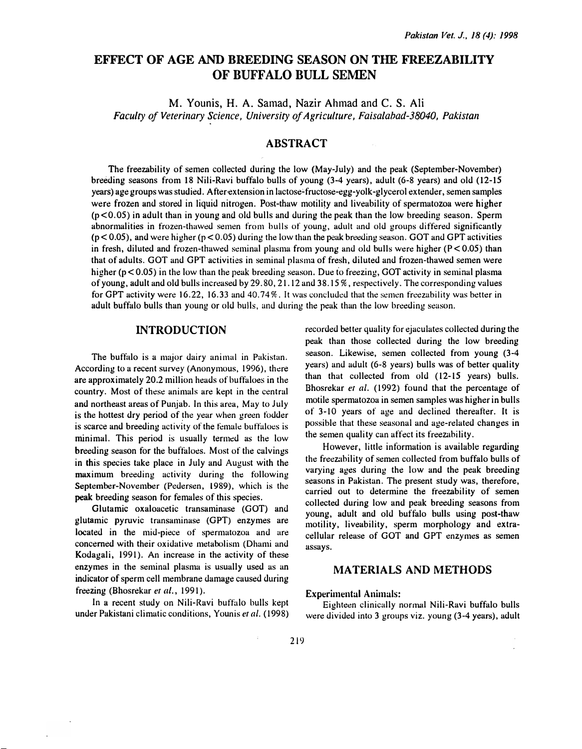# EFFECT OF AGE AND BREEDING SEASON ON THE FREEZABILITY OF BUFFALO BULL SEMEN

M. Younis, H. A. Samad, Nazir Ahmad and C. S. Ali Faculty of Veterinary Science, University of Agriculture, Faisalabad-38040, Pakistan

## ABSTRACT

The freezability of semen collected during the low (May-July) and the peak (September-November) breeding seasons from 18 Nili-Ravi buffalo bulls of young (3-4 years), adult (6-8 years) and old ( 12- 15 years) age groups was studied. After extension in lactose-fructose-egg-yolk-glycerol extender, semen samples were frozen and stored in liquid nitrogen. Post-thaw motility and liveability of spermatozoa were higher (p < 0.05) in adult than in young and old bulls and during the peak than the low breeding season. Sperm abnormalities in frozen-thawed semen from bulls of young, adult and old groups differed significantly  $(p < 0.05)$ , and were higher ( $p < 0.05$ ) during the low than the peak breeding season. GOT and GPT activities in fresh, diluted and frozen-thawed seminal plasma from young and old bulls were higher  $(P < 0.05)$  than that of adults. GOT and GPT activities in seminal plasma of fresh, diluted and frozen-thawed semen were higher ( $p < 0.05$ ) in the low than the peak breeding season. Due to freezing, GOT activity in seminal plasma of young, adult and old bulls increased by 29. 80, 2 1. 12 and 38. 15%, respectively. The corresponding values for GPT activity were 16.22, 16.33 and 40.74%. It was concluded that the semen freezability was better in adult buffalo bulls than young or old hulls, ami during the peak than the low breeding season.

### INTRODUCTION

The buffalo is a major dairy animal in Pakistan. According to a recent survey (Anonymous, 1996), there are approximately 20.2 million heads of buffaloes in the country. Most of these animals are kept in the central and northeast areas of Punjab. In this area, May to July is the hottest dry period of the year when green fodder is scarce and breeding activity of the temale buffaloes is minimal. This period is usually termed as the low breeding season for the buffaloes. Most of the calvings in this species take place in July and August with the maximum breeding activity during the following September-November (Pedersen, 1989), which is the peak breeding season for females of this species.

Glutamic oxaloacetic transaminase (GOT) and glutamic pyruvic transaminase (GPT) enzymes are located in the mid-piece of spermatozoa and are concerned with their oxidative metabolism (Dhami and Kodagali, 1991). An increase in the activity of these enzymes in the seminal plasma is usually used as an indicator of sperm cell membrane damage caused during freezing (Bhosrekar et al., 1991).

In a recent study on Nili-Ravi buffalo bulls kept under Pakistani climatic conditions, Younis et al. ( 1998)

recorded better quality for ejaculates collected during the peak than those collected during the low breeding season. Likewise, semen collected from young (3-4 years) and adult (6-8 years) bulls was of better quality than that collected from old (12-15 years) bulls. Bhosrekar et al. (1992) found that the percentage of motile spermatozoa in semen samples was higher in bulls of 3- 10 years of age and declined thereafter. It is possible that these seasonal and age-related changes in the semen quality can affect its freezahility.

However, little information is available regarding the freezability of semen collected from buffalo bulls of varying ages during the low and the peak breeding seasons in Pakistan. The present study was, therefore, carried out to determine the freezability of semen collected during low and peak breeding seasons from young, adult and old buffalo hulls using post-thaw motility, liveability, sperm morphology and extracellular release of GOT and OPT enzymes as semen assays.

### MATERIALS AND METHODS

#### Experimental Animals:

Eighteen clinically normal Nili-Ravi buffalo bulls were divided into 3 groups viz. young (3-4 years), adult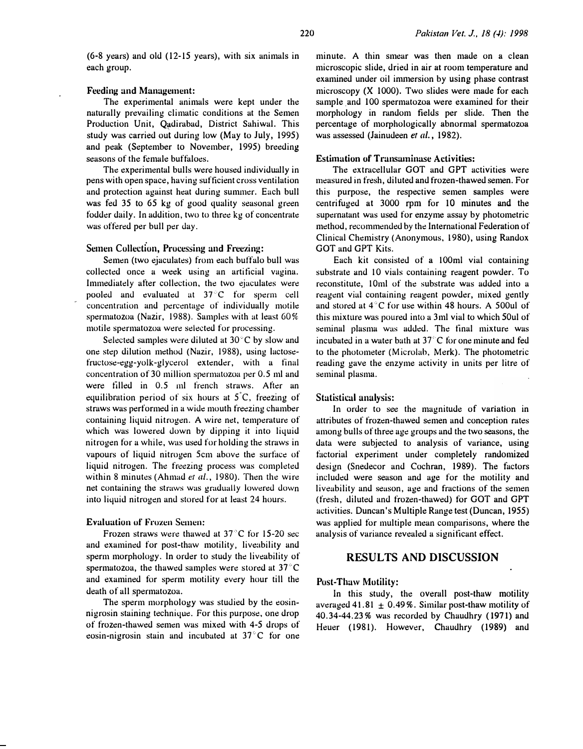$(6-8$  years) and old  $(12-15$  years), with six animals in each group.

### Feeding and Management:

The experimental animals were kept under the naturally prevailing climatic conditions at the Semen Production Unit, Qadirabad, District Sahiwal. This study was carried out during low (May to July, 1995) and peak (September to November, 1995) breeding seasons of the female buffaloes.

The experimental bulls were housed individually in pens with open space, having sufticient cross ventilation and protection against heat during summer. Each bull was fed 35 to 65 kg of good quality seasonal green fodder daily. In addition, two to three kg of concentrate was offered per bull per day.

## Semen Collection, Processing and Freezing:

Semen (two ejaculates) from each buffalo bull was collected once a week using an artificial vagina. Immediately after collection, the two ejaculates were pooled and evaluated at 37°C for sperm cell concentration and percentage of individually motile spermatozoa (Nazir, 1988). Samples with at least GO% motile spermatozoa were selected for processing.

Selected samples were diluted at  $30^{\circ}$ C by slow and one step dilution method (Nazir, 1988), using lactosefructose-egg-yolk-glycerol extender, with a final concentration of 30 million spermatozoa per 0.5 ml and were tilled in 0.5 ml french straws. After an equilibration period of six hours at  $5^{\circ}$ C, freezing of straws was performed in a wide mouth freezing chamber containing liquid nitrogen. A wire net, temperature of which was lowered down by dipping it into liquid nitrogen for a while, was used for holding the straws in vapours of liquid nitrogen 5cm above the surface of liquid nitrogen. The freezing process was completed within 8 minutes (Ahmad et  $al.$ , 1980). Then the wire net containing the straws was gradually lowered down into liquid nitrogen and stored for at least 24 hours.

### **Evaluation of Frozen Semen:**

Frozen straws were thawed at  $37^{\circ}$ C for 15-20 sec and examined for post-thaw motility, liveability and sperm morphology. In order to study the liveability of spermatozoa, the thawed samples were stored at  $37^{\circ}$ C and examined tor sperm motility every hour till the death of all spermatozoa.

The sperm morphology was studied by the eosinnigrosin staining technique. For this purpose, one drop of frozen-thawed semen was mixed with 4-5 drops of eosin-nigrosin stain and incubated at  $37^{\circ}$ C for one

minute. A thin smear was then made on a clean microscopic slide, dried in air at room temperature and examined under oil immersion by using phase contrast microscopy (X 1000). Two slides were made for each sample and 100 spermatozoa were examined for their morphology in random fields per slide. Then the percentage of morphologically abnormal spermatozoa was assessed (Jainudeen et al., 1982).

### Estimation of' Transaminase Activities:

The extracellular GOT and OPT activities were measured in fresh, diluted and frozen-thawed semen. For this purpose, the respective semen samples were centrifuged at 3000 rpm for 10 minutes and the supernatant was used for enzyme assay by photometric method, recommended by the International Federation of Clinical Chemistry (Anonymous, 1980), using Randox GOT and OPT Kits.

Each kit consisted of a 100ml vial containing substrate and 10 vials containing reagent powder. To reconstitute, 10ml of the substrate was added into a reagent vial containing reagent powder, mixed gently and stored at  $4^{\circ}$ C for use within 48 hours. A 500ul of this mixture was poured into a 3ml vial to which 50ul of seminal plasma was added. The final mixture was incubated in a water bath at  $37<sup>°</sup>C$  for one minute and fed to the photometer (Microlab, Merk). The photometric reading gave the enzyme activity in units per litre of seminal plasma.

#### Statistical analysis:

In order to see the magnitude of variation in attributes of frozen-thawed semen and conception rates among bulls of three age groups and the two seasons, the data were su�jected to analysis of variance, using factorial experiment under completely randomized design (Snedecor and Cochran, 1989). The factors included were season and age for the motility and liveability and season, age and fractions of the semen (fresh, diluted and frozen-thawed) tor GOT and GPT activities. Duncan's Multiple Range test (Duncan, 1955) was applied for multiple mean comparisons, where the analysis of variance revealed a significant effect.

## RESULTS AND DISCUSSION

#### Post-Thaw Motility:

In this study, the overall post-thaw motility averaged 41.81  $\pm$  0.49%. Similar post-thaw motility of 40.34-44.23% was recorded by Chaudhry ( 197 1) and Heuer (1981). However, Chaudhry (1989) and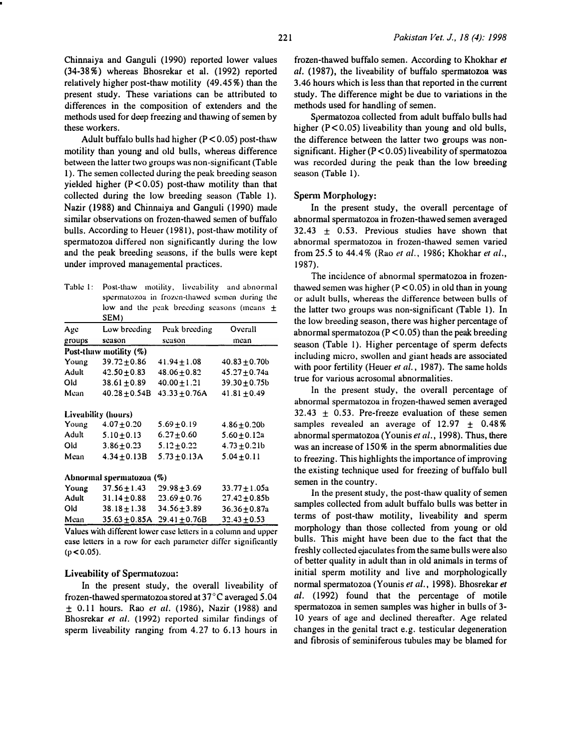Chinnaiya and Ganguli (1990) reported lower values (34-38%) whereas Bhosrekar et al. (1992) reported relatively higher post-thaw motility (49.45%) than the present study. These variations can be attributed to differences in the composition of extenders and the methods used for deep freezing and thawing of semen by these workers.

Adult buffalo bulls had higher  $(P < 0.05)$  post-thaw motility than young and old bulls, whereas difference between the latter two groups was non-significant (Table 1). The semen collected during the peak breeding season yielded higher  $(P < 0.05)$  post-thaw motility than that collected during the low breeding season (Table 1). Nazir (1988) and Chinnaiya and Ganguli (1990) made similar observations on frozen-thawed semen of buffalo bulls. According to Heuer (1981), post-thaw motility of spermatozoa differed non significantly during the low and the peak breeding seasons, if the bulls were kept under improved managemental practices.

|                                               |  |  | Table 1: Post-thaw motility, liveability and abnormal |  |  |
|-----------------------------------------------|--|--|-------------------------------------------------------|--|--|
| spermatozoa in frozen-thawed semen during the |  |  |                                                       |  |  |
|                                               |  |  | low and the peak breeding seasons (means $\pm$        |  |  |
| <b>CEMA</b>                                   |  |  |                                                       |  |  |

|                          | SEM)                |                   |                   |  |  |  |
|--------------------------|---------------------|-------------------|-------------------|--|--|--|
| Age                      | Low breeding        | Peak breeding     | Overall           |  |  |  |
| groups                   | season              | season            | mean              |  |  |  |
| Post-thaw motility (%)   |                     |                   |                   |  |  |  |
| Young                    | $39.72 \pm 0.86$    | $41.94 \pm 1.08$  | $40.83 + 0.70$    |  |  |  |
| Adult                    | $42.50 \pm 0.83$    | $48.06 \pm 0.82$  | $45.27 + 0.74a$   |  |  |  |
| Old                      | $38.61 + 0.89$      | $40.00 \pm 1.21$  | $39.30 + 0.75$    |  |  |  |
| Mean                     | $40.28 + 0.54B$     | $43.33 + 0.76A$   | $41.81 \pm 0.49$  |  |  |  |
|                          | Liveability (hours) |                   |                   |  |  |  |
| Young                    | $4.07 + 0.20$       | $5.69 \pm 0.19$   | $4.86 \pm 0.20$   |  |  |  |
| Adult                    | $5.10 \pm 0.13$     | $6.27 + 0.60$     | $5.60 \pm 0.12a$  |  |  |  |
| Old                      | $3.86 \pm 0.23$     | $5.12 + 0.22$     | $4.73 + 0.21b$    |  |  |  |
| Mean                     | $4.34 + 0.13B$      | $5.73 + 0.13A$    | $5.04 + 0.11$     |  |  |  |
| Abnormal spermatozoa (%) |                     |                   |                   |  |  |  |
| Young                    | $37.56 \pm 1.43$    | $29.98 \pm 3.69$  | $33.77 \pm 1.05a$ |  |  |  |
| Adult                    | $31.14 \pm 0.88$    | $23.69 \pm 0.76$  | $27.42 \pm 0.85b$ |  |  |  |
| Old                      | $38.18 \pm 1.38$    | $34.56 \pm 3.89$  | 36.36±0.87a       |  |  |  |
| Mean                     | $35.63 \pm 0.85$ A  | $29.41 \pm 0.76B$ | $32.43 \pm 0.53$  |  |  |  |
|                          |                     |                   |                   |  |  |  |

Values with different lower case letters in a column and upper case letters in a row for each parameter differ significantly  $(p < 0.05)$ .

#### Liveability of Spermatozoa:

In the present study, the overall liveability of frozen-thawed spermatozoa stored at 37°C averaged 5.04  $\pm$  0.11 hours. Rao *et al.* (1986), Nazir (1988) and Bhosrekar et al. (1992) reported similar findings of sperm liveability ranging from  $4.27$  to  $6.13$  hours in frozen-thawed buffalo semen. According to Khokhar et al. (1987), the liveability of buffalo spermatozoa was 3.46 hours which is less than that reported in the current study. The difference might be due to variations in the methods used for handling of semen.

Spermatozoa collected from adult buffalo bulls had higher  $(P < 0.05)$  liveability than young and old bulls, the difference between the latter two groups was nonsignificant. Higher (P < 0.05) liveability of spermatozoa was recorded during the peak than the low breeding season (Table 1).

#### Sperm Morphology:

In the present study, the overall percentage of abnormal spermatozoa in frozen-thawed semen averaged  $32.43 + 0.53$ . Previous studies have shown that abnormal spermatozoa in frozen-thawed semen varied from 25.5 to 44.4% (Rao et al., 1986; Khokhar et al., 1987).

The incidence of abnormal spermatozoa in frozenthawed semen was higher  $(P < 0.05)$  in old than in young or adult bulls, whereas the difference between bulls of the latter two groups was non-significant (Table 1). In the low breeding season, there was higher percentage of abnormal spermatozoa ( $P < 0.05$ ) than the peak breeding season (Table 1). Higher percentage of sperm defects including micro, swollen and giant heads are associated with poor fertility (Heuer et al., 1987). The same holds true for various acrosomal abnormalities.

In the present study, the overall percentage of abnormal spermatozoa in frozen-thawed semen averaged  $32.43 \pm 0.53$ . Pre-freeze evaluation of these semen samples revealed an average of  $12.97 \pm 0.48\%$ abnormal spermatozoa (Younis et al., 1998). Thus, there was an increase of 150% in the sperm abnormalities due to freezing. This highlights the importance of improving the existing technique used for freezing of buffalo bull semen in the country.

In the present study, the post-thaw quality of semen samples collected from adult buffalo bulls was better in terms of post-thaw motility, liveability and sperm morphology than those collected from young or old bulls. This might have been due to the fact that the freshly collected ejaculates from the same bulls were also of better quality in adult than in old animals in terms of initial sperm motility and live and morphologically normal spermatozoa (Younis et al., 1998). Bhosrekar et al. (1992) found that the percentage of motile spermatozoa in semen samples was higher in bulls of 3- 10 years of age and declined thereafter. Age related changes in the genital tract e.g. testicular degeneration and fibrosis of seminiferous tubules may be blamed for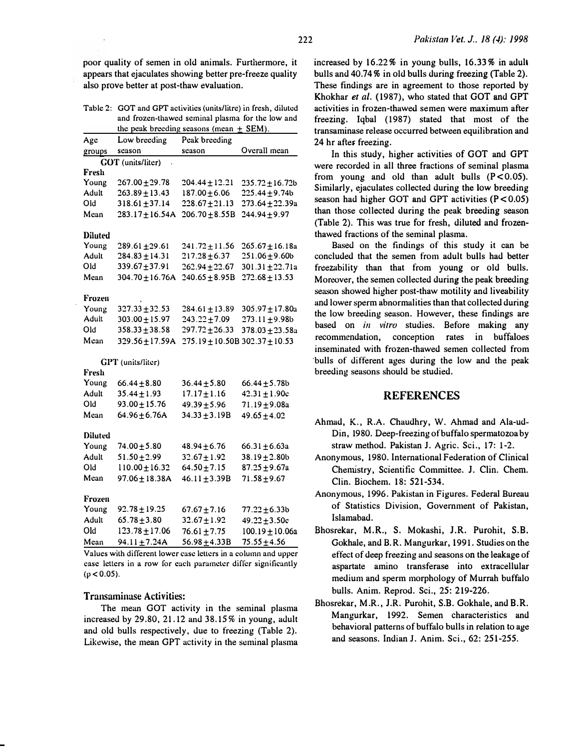poor quality of semen in old animals. Furthermore, it appears that ejaculates showing better pre-freeze quality also prove better at post-thaw evaluation.

Table 2: GOT and GPT activities (units/litre) in fresh, diluted and frozen-thawed seminal plasma for the low and the peak breeding seasons (mean  $\pm$  SEM).

| Low breeding                       | Peak breeding                               |                                                             |  |  |  |  |
|------------------------------------|---------------------------------------------|-------------------------------------------------------------|--|--|--|--|
| season                             | season                                      | Overall mean                                                |  |  |  |  |
| groups<br><b>GOT</b> (units/liter) |                                             |                                                             |  |  |  |  |
|                                    |                                             |                                                             |  |  |  |  |
| 267.00±29.78                       | 204.44±12.21                                | $235.72 \pm 16.72b$                                         |  |  |  |  |
| 263.89±13.43                       | 187.00±6.06                                 | 225.44±9.74b                                                |  |  |  |  |
| $318.61 \pm 37.14$                 | $228.67 + 21.13$                            | 273.64±22.39a                                               |  |  |  |  |
| 283.17±16.54A                      | $206.70 \pm 8.55B$                          | 244.94±9.97                                                 |  |  |  |  |
|                                    |                                             |                                                             |  |  |  |  |
| 289.61±29.61                       | 241.72±11.56                                | $265.67 \pm 16.18a$                                         |  |  |  |  |
| 284.83±14.31                       | $217.28 \pm 6.37$                           | 251.06±9.60b                                                |  |  |  |  |
| 339.67±37.91                       | 262.94±22.67                                | 301.31±22.71a                                               |  |  |  |  |
| 304.70±16.76A                      | 240.65±8.95B                                | $272.68 \pm 13.53$                                          |  |  |  |  |
|                                    |                                             |                                                             |  |  |  |  |
|                                    |                                             | 305.97±17.80a                                               |  |  |  |  |
| 303.00±15.97                       | 243.22±7.09                                 | 273.II±9.98b                                                |  |  |  |  |
|                                    |                                             | 378.03±23.58a                                               |  |  |  |  |
| 329.56±17.59A                      |                                             | $302.37 \pm 10.53$                                          |  |  |  |  |
| GPT (units/liter)                  |                                             |                                                             |  |  |  |  |
|                                    |                                             |                                                             |  |  |  |  |
| 66.44±8.80                         | $36.44 \pm 5.80$                            | 66.44±5.78b                                                 |  |  |  |  |
| 35.44±1.93                         | 17.17 $\pm$ 1.16                            | 42.31±1.90c                                                 |  |  |  |  |
|                                    |                                             | $71.19 + 9.08a$                                             |  |  |  |  |
| $64.96 + 6.76A$                    | $34.33 \pm 3.19B$                           | $49.65 \pm 4.02$                                            |  |  |  |  |
|                                    |                                             |                                                             |  |  |  |  |
| 74.00±5.80                         | $48.94 \pm 6.76$                            | $66.31 \pm 6.63a$                                           |  |  |  |  |
| 51.50±2.99                         | $32.67 \pm 1.92$                            | $38.19 \pm 2.80$                                            |  |  |  |  |
| 110.00±16.32                       | 64.50 $\pm$ 7.15                            | 87.25±9.67a                                                 |  |  |  |  |
| 97.06±18.38A                       | 46.11±3.39B                                 | 71.58±9.67                                                  |  |  |  |  |
|                                    |                                             |                                                             |  |  |  |  |
| 92.78±19.25                        | 67.67±7.16                                  | 77.22±6.33b                                                 |  |  |  |  |
| $65.78 \pm 3.80$                   | 32.67±1.92                                  | 49.22±3.50c                                                 |  |  |  |  |
| 123.78±17.06                       | 76.61±7.75                                  | 100.19±10.06a                                               |  |  |  |  |
| 94.11±7.24A                        | 56.98±4.33B                                 | 75.55±4.56                                                  |  |  |  |  |
|                                    | 327.33±32.53<br>358.33±38.58<br>93.00±15.76 | 284.61±13.89<br>297.72±26.33<br>275.19±10.50B<br>49.39±5.96 |  |  |  |  |

Values with different lower case letters in a column and upper case letters in a row for each parameter differ significantly  $(p < 0.05)$ .

#### Transaminase Activities:

The mean GOT activity in the seminal plasma increased by 29.80, 21.12 and 38.15% in young, adult and old bulls respectively, due to freezing (Table 2). Likewise, the mean GPT activity in the seminal plasma

increased by 16.22% in young bulls, 16.33% in aduh bulls and 40.74% in old bulls during freezing (Table 2). These findings are in agreement to those reported by Khokhar et al. (1987), who stated that GOT and GPT activities in frozen-thawed semen were maximum after freezing. Iqbal (1987) stated that most of the transaminase release occurred between equilibration and

In this study, higher activities of GOT and GPT were recorded in all three fractions of seminal plasma from young and old than adult bulls  $(P < 0.05)$ . Similarly, ejaculates collected during the low breeding season had higher GOT and GPT activities  $(P < 0.05)$ than those collected during the peak breeding season (Table 2). This was true for fresh, diluted and frozenthawed fractions of the seminal plasma.

Based on the findings of this study it can be concluded that the semen from adult bulls had better freezability than that from young or old bulls. Moreover, the semen collected during the peak breeding season showed higher post-thaw motility and liveability and lower sperm abnormalities than that collected during the low breeding season. However, these findings are based on in vitro studies. Before making any recommendation, conception rates in buffaloes inseminated with frozen-thawed semen collected from 'bulls of different ages during the low and the peak breeding seasons should be studied.

### REFERENCES

- Ahmad, K., R.A. Chaudhry, W. Ahmad and Ala-ud-Din, 1980. Deep-freezing of buffalo spermatozoa by straw method. Pakistan J. Agric. Sci., 17: 1 -2.
- Anonymous, 1980. International Federation of Clinical Chemistry, Scientific Committee. J. Clin. Chern. Clin. Biochem. 18: 521-534.
- Anonymous, 1 996. Pakistan in Figures. Federal Bureau of Statistics Division, Government of Pakistan, Islamabad.
- Bhosrekar, M.R., S. Mokashi, J.R. Purohit, S.B. Gokhale, and B. R. Mangurkar, 1991. Studies on the effect of deep freezing and seasons on the leakage of aspartate amino transferase into extracellular medium and sperm morphology of Murrah buffalo bulls. Anim. Reprod. Sci., 25: 219-226.
- Bhosrekar, M.R., J.R. Purohit, S.B. Gokhale, and B.R. Mangurkar, 1992. Semen characteristics and behavioral patterns of buffalo bulls in relation to age and seasons. Indian J. Anim. Sci., 62: 251-255.

24 hr after freezing.